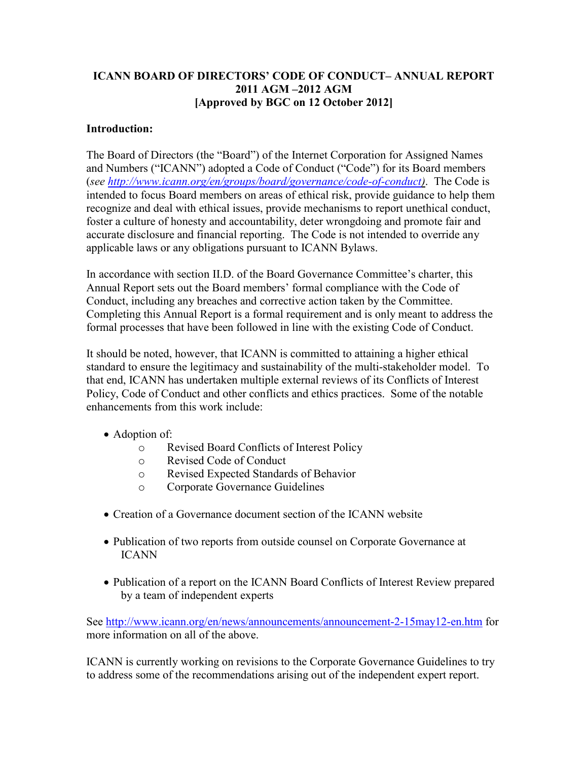# **ICANN BOARD OF DIRECTORS' CODE OF CONDUCT– ANNUAL REPORT 2011 AGM –2012 AGM [Approved by BGC on 12 October 2012]**

## **Introduction:**

The Board of Directors (the "Board") of the Internet Corporation for Assigned Names and Numbers ("ICANN") adopted a Code of Conduct ("Code") for its Board members (*see [http://www.icann.org/en/groups/board/governance/code-of-conduct\)](http://www.icann.org/en/groups/board/governance/code-of-conduct)*. The Code is intended to focus Board members on areas of ethical risk, provide guidance to help them recognize and deal with ethical issues, provide mechanisms to report unethical conduct, foster a culture of honesty and accountability, deter wrongdoing and promote fair and accurate disclosure and financial reporting. The Code is not intended to override any applicable laws or any obligations pursuant to ICANN Bylaws.

In accordance with section II.D. of the Board Governance Committee's charter, this Annual Report sets out the Board members' formal compliance with the Code of Conduct, including any breaches and corrective action taken by the Committee. Completing this Annual Report is a formal requirement and is only meant to address the formal processes that have been followed in line with the existing Code of Conduct.

It should be noted, however, that ICANN is committed to attaining a higher ethical standard to ensure the legitimacy and sustainability of the multi-stakeholder model. To that end, ICANN has undertaken multiple external reviews of its Conflicts of Interest Policy, Code of Conduct and other conflicts and ethics practices. Some of the notable enhancements from this work include:

- Adoption of:
	- o Revised Board Conflicts of Interest Policy
	- o Revised Code of Conduct
	- o Revised Expected Standards of Behavior
	- o Corporate Governance Guidelines
- Creation of a Governance document section of the ICANN website
- Publication of two reports from outside counsel on Corporate Governance at ICANN
- Publication of a report on the ICANN Board Conflicts of Interest Review prepared by a team of independent experts

See<http://www.icann.org/en/news/announcements/announcement-2-15may12-en.htm> for more information on all of the above.

ICANN is currently working on revisions to the Corporate Governance Guidelines to try to address some of the recommendations arising out of the independent expert report.